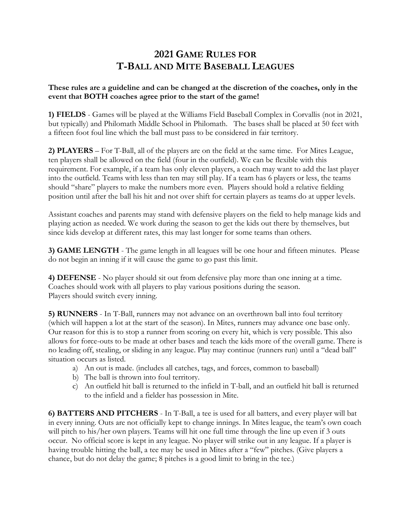## **2021 GAME RULES FOR T-BALL AND MITE BASEBALL LEAGUES**

## **These rules are a guideline and can be changed at the discretion of the coaches, only in the event that BOTH coaches agree prior to the start of the game!**

**1) FIELDS** - Games will be played at the Williams Field Baseball Complex in Corvallis (not in 2021, but typically) and Philomath Middle School in Philomath. The bases shall be placed at 50 feet with a fifteen foot foul line which the ball must pass to be considered in fair territory.

**2) PLAYERS** – For T-Ball, all of the players are on the field at the same time. For Mites League, ten players shall be allowed on the field (four in the outfield). We can be flexible with this requirement. For example, if a team has only eleven players, a coach may want to add the last player into the outfield. Teams with less than ten may still play. If a team has 6 players or less, the teams should "share" players to make the numbers more even. Players should hold a relative fielding position until after the ball his hit and not over shift for certain players as teams do at upper levels.

Assistant coaches and parents may stand with defensive players on the field to help manage kids and playing action as needed. We work during the season to get the kids out there by themselves, but since kids develop at different rates, this may last longer for some teams than others.

**3) GAME LENGTH** - The game length in all leagues will be one hour and fifteen minutes. Please do not begin an inning if it will cause the game to go past this limit.

**4) DEFENSE** - No player should sit out from defensive play more than one inning at a time. Coaches should work with all players to play various positions during the season. Players should switch every inning.

**5) RUNNERS** - In T-Ball, runners may not advance on an overthrown ball into foul territory (which will happen a lot at the start of the season). In Mites, runners may advance one base only. Our reason for this is to stop a runner from scoring on every hit, which is very possible. This also allows for force-outs to be made at other bases and teach the kids more of the overall game. There is no leading off, stealing, or sliding in any league. Play may continue (runners run) until a "dead ball" situation occurs as listed.

- a) An out is made. (includes all catches, tags, and forces, common to baseball)
- b) The ball is thrown into foul territory.
- c) An outfield hit ball is returned to the infield in T-ball, and an outfield hit ball is returned to the infield and a fielder has possession in Mite.

**6) BATTERS AND PITCHERS** - In T-Ball, a tee is used for all batters, and every player will bat in every inning. Outs are not officially kept to change innings. In Mites league, the team's own coach will pitch to his/her own players. Teams will hit one full time through the line up even if 3 outs occur. No official score is kept in any league. No player will strike out in any league. If a player is having trouble hitting the ball, a tee may be used in Mites after a "few" pitches. (Give players a chance, but do not delay the game; 8 pitches is a good limit to bring in the tee.)